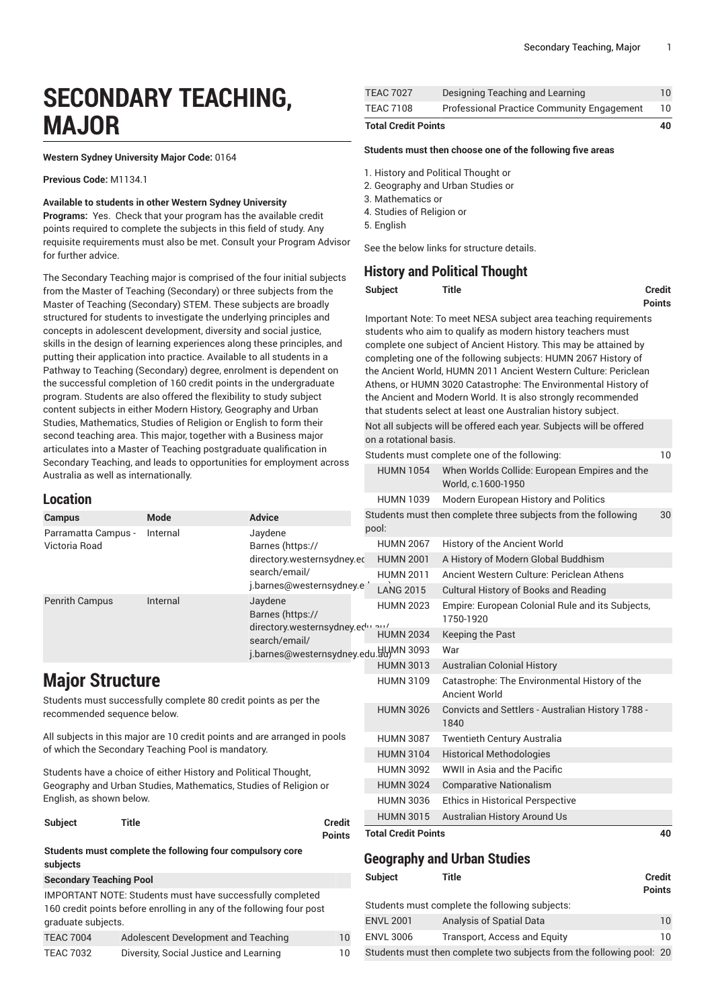# **SECONDARY TEACHING, MAJOR**

**Western Sydney University Major Code:** 0164

**Previous Code:** M1134.1

#### **Available to students in other Western Sydney University**

Programs: Yes. Check that your program has the available credit points required to complete the subjects in this field of study. Any requisite requirements must also be met. Consult your Program Advisor for further advice.

The Secondary Teaching major is comprised of the four initial subjects from the Master of Teaching (Secondary) or three subjects from the Master of Teaching (Secondary) STEM. These subjects are broadly structured for students to investigate the underlying principles and concepts in adolescent development, diversity and social justice, skills in the design of learning experiences along these principles, and putting their application into practice. Available to all students in a Pathway to Teaching (Secondary) degree, enrolment is dependent on the successful completion of 160 credit points in the undergraduate program. Students are also offered the flexibility to study subject content subjects in either Modern History, Geography and Urban Studies, Mathematics, Studies of Religion or English to form their second teaching area. This major, together with a Business major articulates into a Master of Teaching postgraduate qualification in Secondary Teaching, and leads to opportunities for employment across Australia as well as internationally.

#### **Location**

| <b>Location</b>                      |             | <b>HUMN 1039</b>                                                                                                   | Modern European History and Politics                                                |                                                                                                                                                                  |   |
|--------------------------------------|-------------|--------------------------------------------------------------------------------------------------------------------|-------------------------------------------------------------------------------------|------------------------------------------------------------------------------------------------------------------------------------------------------------------|---|
| <b>Campus</b>                        | <b>Mode</b> | <b>Advice</b>                                                                                                      | pool:                                                                               | Students must then complete three subjects from the following                                                                                                    | 3 |
| Parramatta Campus -<br>Victoria Road | Internal    | Jaydene<br>Barnes (https://<br>directory.westernsydney.ed<br>search/email/<br>j.barnes@westernsydney.e             | <b>HUMN 2067</b><br><b>HUMN 2001</b><br><b>HUMN 2011</b><br><b>LANG 2015</b>        | History of the Ancient World<br>A History of Modern Global Buddhism<br>Ancient Western Culture: Periclean Athens<br><b>Cultural History of Books and Reading</b> |   |
| <b>Penrith Campus</b>                | Internal    | Jaydene<br>Barnes (https://<br>directory.westernsydney.ed<br>search/email/<br>j.barnes@westernsydney.edu.hyMN 3093 | <b>HUMN 2023</b><br><b>HUMN 2034</b>                                                | Empire: European Colonial Rule and its Subjects,<br>1750-1920<br>Keeping the Past<br>War                                                                         |   |
| <b>Major Structure</b>               |             | <b>HUMN 3013</b><br><b>HUMN 3109</b>                                                                               | <b>Australian Colonial History</b><br>Catastrophe: The Environmental History of the |                                                                                                                                                                  |   |

Students must successfully complete 80 credit points as per the recommended sequence below.

All subjects in this major are 10 credit points and are arranged in pools of which the Secondary Teaching Pool is mandatory.

Students have a choice of either History and Political Thought, Geography and Urban Studies, Mathematics, Studies of Religion or English, as shown below.

**Subject Title Credit**

**Points**

**Students must complete the following four compulsory core subjects Secondary Teaching Pool**

|                    | <b>IMPORTANT NOTE: Students must have successfully completed</b>     |    |
|--------------------|----------------------------------------------------------------------|----|
|                    | 160 credit points before enrolling in any of the following four post |    |
| graduate subjects. |                                                                      |    |
| <b>TEAC 7004</b>   | Adolescent Development and Teaching                                  | 10 |
| <b>TEAC 7032</b>   | Diversity, Social Justice and Learning                               | 10 |

| <b>Total Credit Points</b> |                                                   |    |
|----------------------------|---------------------------------------------------|----|
| TEAC 7108                  | <b>Professional Practice Community Engagement</b> | 10 |
| <b>TEAC 7027</b>           | Designing Teaching and Learning                   | 10 |

#### **Students must then choose one of the following five areas**

- 1. History and Political Thought or
- 2. Geography and Urban Studies or
- 3. Mathematics or
- 4. Studies of Religion or
- 5. English

See the below links for structure details.

#### **History and Political Thought**

| Subject | <b>Title</b> | <b>Credit</b> |
|---------|--------------|---------------|
|         |              | <b>Points</b> |

Important Note: To meet NESA subject area teaching requirements students who aim to qualify as modern history teachers must complete one subject of Ancient History. This may be attained by completing one of the following subjects: HUMN 2067 History of the Ancient World, HUMN 2011 Ancient Western Culture: Periclean Athens, or HUMN 3020 Catastrophe: The Environmental History of the Ancient and Modern World. It is also strongly recommended that students select at least one Australian history subject. Not all subjects will be offered each year. Subjects will be offered on a rotational basis.

| <b>Total Credit Points</b>    |                                                                     | 40 |
|-------------------------------|---------------------------------------------------------------------|----|
| <b>HUMN 3015</b>              | Australian History Around Us                                        |    |
| <b>HUMN 3036</b>              | <b>Ethics in Historical Perspective</b>                             |    |
| <b>HUMN 3024</b>              | <b>Comparative Nationalism</b>                                      |    |
| <b>HUMN 3092</b>              | WWII in Asia and the Pacific                                        |    |
| <b>HUMN 3104</b>              | <b>Historical Methodologies</b>                                     |    |
| <b>HUMN 3087</b>              | Twentieth Century Australia                                         |    |
| <b>HUMN 3026</b>              | Convicts and Settlers - Australian History 1788 -<br>1840           |    |
| <b>HUMN 3109</b>              | Catastrophe: The Environmental History of the<br>Ancient World      |    |
| <b>HUMN 3013</b>              | <b>Australian Colonial History</b>                                  |    |
| du.ਸ਼ੂੰਮ੍ਹਿMN 3093            | War                                                                 |    |
| <b>HUMN 2034</b>              | Keeping the Past                                                    |    |
| <b>HUMN 2023</b><br>ا بیم بیا | Empire: European Colonial Rule and its Subjects,<br>1750-1920       |    |
| <b>LANG 2015</b>              | <b>Cultural History of Books and Reading</b>                        |    |
| <b>HUMN 2011</b>              | Ancient Western Culture: Periclean Athens                           |    |
| <b>HUMN 2001</b>              | A History of Modern Global Buddhism                                 |    |
| <b>HUMN 2067</b>              | History of the Ancient World                                        |    |
| pool:                         | Students must then complete three subjects from the following       | 30 |
| <b>HUMN 1039</b>              | Modern European History and Politics                                |    |
| <b>HUMN 1054</b>              | When Worlds Collide: European Empires and the<br>World, c.1600-1950 |    |
|                               | Students must complete one of the following:                        | 10 |

#### **Geography and Urban Studies**

| Subject          | Title                                                                | <b>Credit</b><br>Points |
|------------------|----------------------------------------------------------------------|-------------------------|
|                  | Students must complete the following subjects:                       |                         |
| <b>ENVL 2001</b> | <b>Analysis of Spatial Data</b>                                      | 10                      |
| <b>ENVL 3006</b> | Transport, Access and Equity                                         | 10                      |
|                  | Students must then complete two subjects from the following pool: 20 |                         |